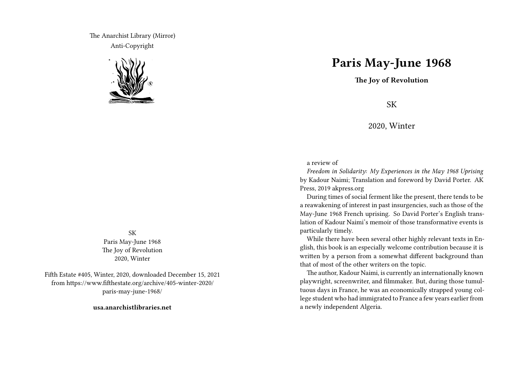The Anarchist Library (Mirror) Anti-Copyright



SK Paris May-June 1968 The Joy of Revolution 2020, Winter

Fifth Estate #405, Winter, 2020, downloaded December 15, 2021 from https://www.fifthestate.org/archive/405-winter-2020/ paris-may-june-1968/

**usa.anarchistlibraries.net**

## **Paris May-June 1968**

**The Joy of Revolution**

SK

2020, Winter

a review of

*Freedom in Solidarity: My Experiences in the May 1968 Uprising* by Kadour Naimi; Translation and foreword by David Porter. AK Press, 2019 akpress.org

During times of social ferment like the present, there tends to be a reawakening of interest in past insurgencies, such as those of the May-June 1968 French uprising. So David Porter's English translation of Kadour Naimi's memoir of those transformative events is particularly timely.

While there have been several other highly relevant texts in English, this book is an especially welcome contribution because it is written by a person from a somewhat different background than that of most of the other writers on the topic.

The author, Kadour Naimi, is currently an internationally known playwright, screenwriter, and filmmaker. But, during those tumultuous days in France, he was an economically strapped young college student who had immigrated to France a few years earlier from a newly independent Algeria.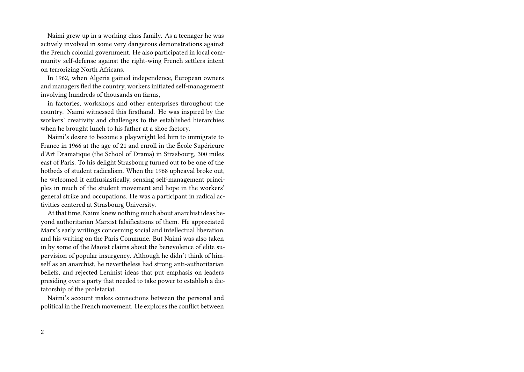Naimi grew up in a working class family. As a teenager he was actively involved in some very dangerous demonstrations against the French colonial government. He also participated in local community self-defense against the right-wing French settlers intent on terrorizing North Africans.

In 1962, when Algeria gained independence, European owners and managers fled the country, workers initiated self-management involving hundreds of thousands on farms,

in factories, workshops and other enterprises throughout the country. Naimi witnessed this firsthand. He was inspired by the workers' creativity and challenges to the established hierarchies when he brought lunch to his father at a shoe factory.

Naimi's desire to become a playwright led him to immigrate to France in 1966 at the age of 21 and enroll in the École Supérieure d'Art Dramatique (the School of Drama) in Strasbourg, 300 miles east of Paris. To his delight Strasbourg turned out to be one of the hotbeds of student radicalism. When the 1968 upheaval broke out, he welcomed it enthusiastically, sensing self-management principles in much of the student movement and hope in the workers' general strike and occupations. He was a participant in radical activities centered at Strasbourg University.

At that time, Naimi knew nothing much about anarchist ideas beyond authoritarian Marxist falsifications of them. He appreciated Marx's early writings concerning social and intellectual liberation, and his writing on the Paris Commune. But Naimi was also taken in by some of the Maoist claims about the benevolence of elite supervision of popular insurgency. Although he didn't think of himself as an anarchist, he nevertheless had strong anti-authoritarian beliefs, and rejected Leninist ideas that put emphasis on leaders presiding over a party that needed to take power to establish a dictatorship of the proletariat.

Naimi's account makes connections between the personal and political in the French movement. He explores the conflict between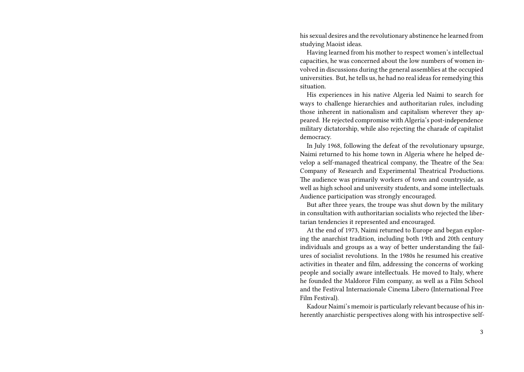his sexual desires and the revolutionary abstinence he learned from studying Maoist ideas.

Having learned from his mother to respect women's intellectual capacities, he was concerned about the low numbers of women involved in discussions during the general assemblies at the occupied universities. But, he tells us, he had no real ideas for remedying this situation.

His experiences in his native Algeria led Naimi to search for ways to challenge hierarchies and authoritarian rules, including those inherent in nationalism and capitalism wherever they appeared. He rejected compromise with Algeria's post-independence military dictatorship, while also rejecting the charade of capitalist democracy.

In July 1968, following the defeat of the revolutionary upsurge, Naimi returned to his home town in Algeria where he helped develop a self-managed theatrical company, the Theatre of the Sea: Company of Research and Experimental Theatrical Productions. The audience was primarily workers of town and countryside, as well as high school and university students, and some intellectuals. Audience participation was strongly encouraged.

But after three years, the troupe was shut down by the military in consultation with authoritarian socialists who rejected the libertarian tendencies it represented and encouraged.

At the end of 1973, Naimi returned to Europe and began exploring the anarchist tradition, including both 19th and 20th century individuals and groups as a way of better understanding the failures of socialist revolutions. In the 1980s he resumed his creative activities in theater and film, addressing the concerns of working people and socially aware intellectuals. He moved to Italy, where he founded the Maldoror Film company, as well as a Film School and the Festival Internazionale Cinema Libero (International Free Film Festival).

Kadour Naimi's memoir is particularly relevant because of his inherently anarchistic perspectives along with his introspective self